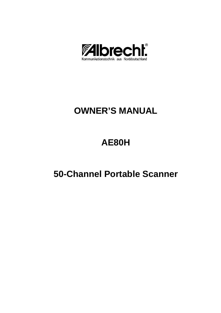

# **OWNER'S MANUAL**

# **AE80H**

# **50-Channel Portable Scanner**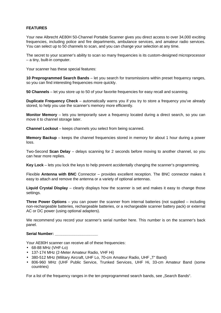# **FEATURES**

Your new Albrecht AE80H 50-Channel Portable Scanner gives you direct access to over 34,000 exciting frequencies, including police and fire departments, ambulance services, and amateur radio services. You can select up to 50 channels to scan, and you can change your selection at any time.

The secret to your scanner's ability to scan so many frequencies is its custom-designed microprocessor – a tiny, built-in computer.

Your scanner has these special features:

**10 Preprogrammed Search Bands** – let you search for transmissions within preset frequency ranges, so you can find interesting frequencies more quickly.

**50 Channels** – let you store up to 50 of your favorite frequencies for easy recall and scanning.

**Duplicate Frequency Check** – automatically warns you if you try to store a frequency you've already stored, to help you use the scanner's memory more efficiently.

**Monitor Memory** – lets you temporarily save a frequency located during a direct search, so you can move it to channel storage later.

**Channel Lockout** – keeps channels you select from being scanned.

**Memory Backup** – keeps the channel frequencies stored in memory for about 1 hour during a power loss.

Two-Second **Scan Delay** – delays scanning for 2 seconds before moving to another channel, so you can hear more replies.

**Key Lock** – lets you lock the keys to help prevent accidentally changing the scanner's programming.

Flexible **Antenna with BNC** Connector – provides excellent reception. The BNC connector makes it easy to attach and remove the antenna or a variety of optional antennas.

**Liquid Crystal Display** – clearly displays how the scanner is set and makes it easy to change those settings.

**Three Power Options** – you can power the scanner from internal batteries (not supplied – including non-rechargeable batteries, rechargeable batteries, or a rechargeable scanner battery pack) or external AC or DC power (using optional adapters).

We recommend you record your scanner's serial number here. This number is on the scanner's back panel.

Serial Number:

Your AE80H scanner can receive all of these frequencies:

- 68-88 MHz (VHF-Lo)
- 137-174 MHz (2-Meter Amateur Radio, VHF Hi)
- 380-512 MHz (Military Aircraft, UHF Lo, 70-cm Amateur Radio, UHF "T" Band)
- 806-960 MHz (UHF Public Service, Trunked Services, UHF Hi, 33-cm Amateur Band (some countries)

For a list of the frequency ranges in the ten preprogrammed search bands, see "Search Bands".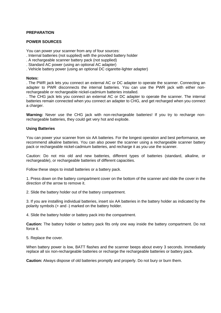# **PREPARATION**

# **POWER SOURCES**

You can power your scanner from any of four sources:

- . Internal batteries (not supplied) with the provided battery holder
- . A rechargeable scanner battery pack (not supplied)
- . Standard AC power (using an optional AC adapter)
- . Vehicle battery power (using an optional DC cigarette-lighter adapter)

#### **Notes:**

. The PWR jack lets you connect an external AC or DC adapter to operate the scanner. Connecting an adapter to PWR disconnects the internal batteries. You can use the PWR jack with either nonrechargeable or rechargeable nickel-cadmium batteries installed.

. The CHG jack lets you connect an external AC or DC adapter to operate the scanner. The internal batteries remain connected when you connect an adapter to CHG, and get recharged when you connect a charger.

**Warning:** Never use the CHG jack with non-rechargeable batteries! If you try to recharge nonrechargeable batteries, they could get very hot and explode.

#### **Using Batteries**

You can power your scanner from six AA batteries. For the longest operation and best performance, we recommend alkaline batteries. You can also power the scanner using a rechargeable scanner battery pack or rechargeable nickel-cadmium batteries, and recharge it as you use the scanner.

Caution: Do not mix old and new batteries, different types of batteries (standard, alkaline, or rechargeable), or rechargeable batteries of different capacities.

Follow these steps to install batteries or a battery pack.

1. Press down on the battery compartment cover on the bottom of the scanner and slide the cover in the direction of the arrow to remove it.

2. Slide the battery holder out of the battery compartment.

3. If you are installing individual batteries, insert six AA batteries in the battery holder as indicated by the polarity symbols (+ and -) marked on the battery holder.

4. Slide the battery holder or battery pack into the compartment.

**Caution:** The battery holder or battery pack fits only one way inside the battery compartment. Do not force it.

5. Replace the cover.

When battery power is low, BATT flashes and the scanner beeps about every 3 seconds. Immediately replace all six non-rechargeable batteries or recharge the rechargeable batteries or battery pack.

**Caution:** Always dispose of old batteries promptly and properly. Do not bury or burn them.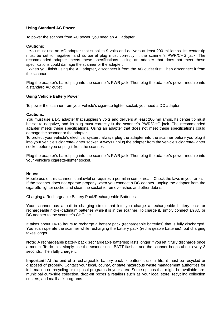# **Using Standard AC Power**

To power the scanner from AC power, you need an AC adapter.

## **Cautions:**

. You must use an AC adapter that supplies 9 volts and delivers at least 200 milliamps. Its center tip must be set to negative, and its barrel plug must correctly fit the scanner's PWR/CHG jack. The recommended adapter meets these specifications. Using an adapter that does not meet these specifications could damage the scanner or the adapter.

. When you finish using the AC adapter, disconnect it from the AC outlet first. Then disconnect it from the scanner.

Plug the adapter's barrel plug into the scanner's PWR jack. Then plug the adapter's power module into a standard AC outlet.

#### **Using Vehicle Battery Power**

To power the scanner from your vehicle's cigarette-lighter socket, you need a DC adapter.

#### **Cautions:**

You must use a DC adapter that supplies 9 volts and delivers at least 200 milliamps. Its center tip must be set to negative, and its plug must correctly fit the scanner's PWR/CHG jack. The recommended adapter meets these specifications. Using an adapter that does not meet these specifications could damage the scanner or the adapter.

To protect your vehicle's electrical system, always plug the adapter into the scanner before you plug it into your vehicle's cigarette-lighter socket. Always unplug the adapter from the vehicle's cigarette-lighter socket before you unplug it from the scanner.

Plug the adapter's barrel plug into the scanner's PWR jack. Then plug the adapter's power module into your vehicle's cigarette-lighter socket.

#### **Notes:**

Mobile use of this scanner is unlawful or requires a permit in some areas. Check the laws in your area. If the scanner does not operate properly when you connect a DC adapter, unplug the adapter from the cigarette-lighter socket and clean the socket to remove ashes and other debris.

Charging a Rechargeable Battery Pack/Rechargeable Batteries

Your scanner has a built-in charging circuit that lets you charge a rechargeable battery pack or rechargeable nickel-cadmium batteries while it is in the scanner. To charge it, simply connect an AC or DC adapter to the scanner's CHG jack.

It takes about 14-16 hours to recharge a battery pack (rechargeable batteries) that is fully discharged. You scan operate the scanner while recharging the battery pack (rechargeable batteries), but charging takes longer.

**Note:** A rechargeable battery pack (rechargeable batteries) lasts longer if you let it fully discharge once a month. To do this, simply use the scanner until BATT flashes and the scanner beeps about every 3 seconds. Then fully charge it.

**Important!** At the end of a rechargeable battery pack or batteries useful life, it must be recycled or disposed of properly. Contact your local, county, or state hazardous waste management authorities for information on recycling or disposal programs in your area. Some options that might be available are: municipal curb-side collection, drop-off boxes a retailers such as your local store, recycling collection centers, and mailback programs.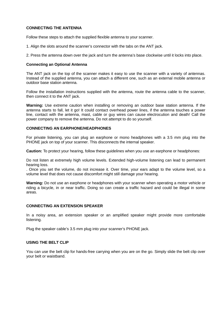# **CONNECTING THE ANTENNA**

Follow these steps to attach the supplied flexible antenna to your scanner.

1. Align the slots around the scanner's connector with the tabs on the ANT jack.

2. Press the antenna down over the jack and turn the antenna's base clockwise until it locks into place.

#### **Connecting an Optional Antenna**

The ANT jack on the top of the scanner makes it easy to use the scanner with a variety of antennas. Instead of the supplied antenna, you can attach a different one, such as an external mobile antenna or outdoor base station antenna.

Follow the installation instructions supplied with the antenna, route the antenna cable to the scanner, then connect it to the ANT jack.

**Warning:** Use extreme caution when installing or removing an outdoor base station antenna. If the antenna starts to fall, let it go! It could contact overhead power lines, if the antenna touches a power line, contact with the antenna, mast, cable or guy wires can cause electrocution and death! Call the power company to remove the antenna. Do not attempt to do so yourself.

#### **CONNECTING AN EARPHONE/HEADPHONES**

For private listening, you can plug an earphone or mono headphones with a 3.5 mm plug into the PHONE jack on top of your scanner. This disconnects the internal speaker.

**Caution:** To protect your hearing, follow these guidelines when you use an earphone or headphones:

Do not listen at extremely high volume levels. Extended high-volume listening can lead to permanent hearing loss.

. Once you set the volume, do not increase it. Over time, your ears adapt to the volume level, so a volume level that does not cause discomfort might still damage your hearing.

**Warning:** Do not use an earphone or headphones with your scanner when operating a motor vehicle or riding a bicycle, in or near traffic. Doing so can create a traffic hazard and could be illegal in some areas.

# **CONNECTING AN EXTENSION SPEAKER**

In a noisy area, an extension speaker or an amplified speaker might provide more comfortable listening.

Plug the speaker cable's 3.5 mm plug into your scanner's PHONE jack.

# **USING THE BELT CLIP**

You can use the belt clip for hands-free carrying when you are on the go. Simply slide the belt clip over your belt or waistband.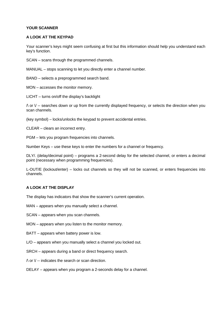# **YOUR SCANNER**

# **A LOOK AT THE KEYPAD**

Your scanner's keys might seem confusing at first but this information should help you understand each key's function.

SCAN – scans through the programmed channels.

MANUAL – stops scanning to let you directly enter a channel number.

BAND – selects a preprogrammed search band.

MON – accesses the monitor memory.

LICHT – turns on/off the display's backlight

 $\land$  or  $\lor$  -- searches down or up from the currently displayed frequency, or selects the direction when you scan channels.

(key symbol) – locks/unlocks the keypad to prevent accidental entries.

CLEAR – clears an incorrect entry.

PGM – lets you program frequencies into channels.

Number Keys – use these keys to enter the numbers for a channel or frequency.

DLY/. (delay/decimal point) – programs a 2-second delay for the selected channel, or enters a decimal point (necessary when programming frequencies).

L-OUT/E (lockout/enter) – locks out channels so they will not be scanned, or enters frequencies into channels.

# **A LOOK AT THE DISPLAY**

The display has indicators that show the scanner's current operation.

MAN – appears when you manually select a channel.

SCAN – appears when you scan channels.

MON – appears when you listen to the monitor memory.

- BATT appears when battery power is low.
- L/O appears when you manually select a channel you locked out.
- SRCH appears during a band or direct frequency search.
- $\land$  or  $\lor$  -- indicates the search or scan direction.
- DELAY appears when you program a 2-seconds delay for a channel.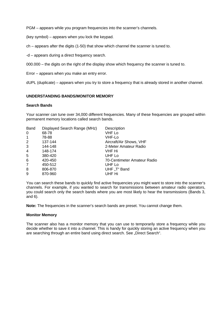PGM – appears while you program frequencies into the scanner's channels.

(key symbol) – appears when you lock the keypad.

ch – appears after the digits (1-50) that show which channel the scanner is tuned to.

-d – appears during a direct frequency search.

000.000 – the digits on the right of the display show which frequency the scanner is tuned to.

Error – appears when you make an entry error.

dUPL (duplicate) – appears when you try to store a frequency that is already stored in another channel.

# **UNDERSTANDING BANDS/MONITOR MEMORY**

# **Search Bands**

Your scanner can tune over 34,000 different frequencies. Many of these frequencies are grouped within permanent memory locations called search bands.

| <b>Band</b>     | Displayed Search Range (MHz) | Description                 |
|-----------------|------------------------------|-----------------------------|
| 0               | 68-78                        | <b>VHF Lo</b>               |
| $\overline{1}$  | 78-88                        | VHF-Lo                      |
| 2               | 137-144                      | Aircraft/Air Shows, VHF     |
| 3               | 144-148                      | 2-Meter Amateur Radio       |
| $\overline{4}$  | 148-174                      | VHF Hi                      |
| $5\phantom{.0}$ | 380-420                      | UHF Lo                      |
| 6               | 420-450                      | 70-Centimeter Amateur Radio |
| 7               | 450-512                      | UHF Lo                      |
| 8               | 806-870                      | UHF "T" Band                |
| 9               | 870-960                      | UHF Hi                      |
|                 |                              |                             |

You can search these bands to quickly find active frequencies you might want to store into the scanner's channels. For example, if you wanted to search for transmissions between amateur radio operators, you could search only the search bands where you are most likely to hear the transmissions (Bands 3, and 6).

**Note:** The frequencies in the scanner's search bands are preset. You cannot change them.

# **Monitor Memory**

The scanner also has a monitor memory that you can use to temporarily store a frequency while you decide whether to save it into a channel. This is handy for quickly storing an active frequency when you are searching through an entire band using direct search. See "Direct Search".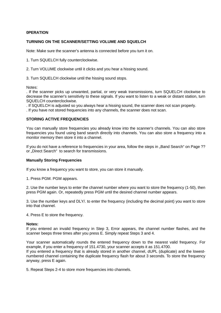# **0PERATION**

#### **TURNING ON THE SCANNER/SETTING VOLUME AND SQUELCH**

Note: Make sure the scanner's antenna is connected before you turn it on.

1. Turn SQUELCH fully counterclockwise.

2. Turn VOLUME clockwise until it clicks and you hear a hissing sound.

3. Turn SQUELCH clockwise until the hissing sound stops.

Notes:

. If the scanner picks up unwanted, partial, or very weak transmissions, turn SQUELCH clockwise to decrease the scanner's sensitivity to these signals. If you want to listen to a weak or distant station, turn SQUELCH counterclockwise.

. If SQUELCH is adjusted so you always hear a hissing sound, the scanner does not scan properly.

. If you have not stored frequencies into any channels, the scanner does not scan.

#### **STORING ACTIVE FREQUENCIES**

You can manually store frequencies you already know into the scanner's channels. You can also store frequencies you found using band search directly into channels. You can also store a frequency into a monitor memory then store it into a channel.

If you do not have a reference to frequencies in your area, follow the steps in "Band Search" on Page ?? or "Direct Search" to search for transmissions.

#### **Manually Storing Frequencies**

If you know a frequency you want to store, you can store it manually.

1. Press PGM. PGM appears.

2. Use the number keys to enter the channel number where you want to store the frequency (1-50), then press PGM again. Or, repeatedly press PGM until the desired channel number appears.

3. Use the number keys and DLY/. to enter the frequency (including the decimal point) you want to store into that channel.

4. Press E to store the frequency.

anyway, press E again.

#### **Notes:**

If you entered an invalid frequency in Step 3, Error appears, the channel number flashes, and the scanner beeps three times after you press E. Simply repeat Steps 3 and 4.

Your scanner automatically rounds the entered frequency down to the nearest valid frequency. For example, if you enter a frequency of 151.4730, your scanner accepts it as 151.4700. If you entered a frequency that is already stored in another channel, dUPL (duplicate) and the lowestnumbered channel containing the duplicate frequency flash for about 3 seconds. To store the frequency

5. Repeat Steps 2-4 to store more frequencies into channels.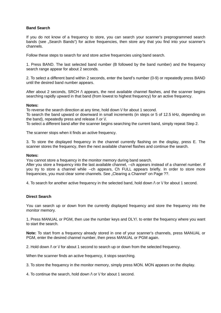# **Band Search**

If you do not know of a frequency to store, you can search your scanner's preprogrammed search bands (see ..Search Bands") for active frequencies, then store any that you find into your scanner's channels.

Follow these steps to search for and store active frequencies using band search.

1. Press BAND. The last selected band number (B followed by the band number) and the frequency search range appear for about 2 seconds.

2. To select a different band within 2 seconds, enter the band's number (0-9) or repeatedly press BAND until the desired band number appears.

After about 2 seconds, SRCH  $\wedge$  appears, the next available channel flashes, and the scanner begins searching rapidly upward in that band (from lowest to highest frequency) for an active frequency.

#### **Notes:**

To reverse the search direction at any time, hold down  $\vee$  for about 1 second.

To search the band upward or downward in small increments (in steps or 5 of 12.5 kHz, depending on the band), repeatedly press and release  $\wedge$  or  $\vee$ .

To select a different band after the scanner begins searching the current band, simply repeat Step 2.

The scanner stops when it finds an active frequency.

3. To store the displayed frequency in the channel currently flashing on the display, press E. The scanner stores the frequency, then the next available channel flashes and continue the search.

#### **Notes:**

You cannot store a frequency in the monitor memory during band search.

After you store a frequency into the last available channel, --ch appears instead of a channel number. If you try to store a channel while --ch appears, Ch FULL appears briefly. In order to store more frequencies, you must clear some channels. See "Clearing a Channel" on Page ??.

4. To search for another active frequency in the selected band, hold down  $\wedge$  or  $\vee$  for about 1 second.

# **Direct Search**

You can search up or down from the currently displayed frequency and store the frequency into the monitor memory.

1. Press MANUAL or PGM, then use the number keys and DLY/. to enter the frequency where you want to start the search.

**Note:** To start from a frequency already stored in one of your scanner's channels, press MANUAL or PGM, enter the desired channel number, then press MANUAL or PGM again.

2. Hold down  $\wedge$  or  $\vee$  for about 1 second to search up or down from the selected frequency.

When the scanner finds an active frequency, it stops searching.

3. To store the frequency in the monitor memory, simply press MON. MON appears on the display.

4. To continue the search, hold down  $\wedge$  or  $\vee$  for about 1 second.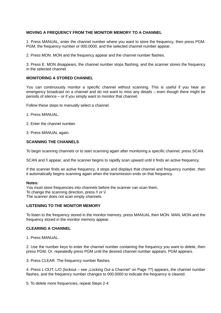# **MOVING A FREQUENCY FROM THE MONITOR MEMORY TO A CHANNEL**

1. Press MANUAL, enter the channel number where you want to store the frequency, then press PGM. PGM, the frequency number or 000.0000, and the selected channel number appear.

2. Press MON. MON and the frequency appear and the channel number flashes.

3. Press E. MON disappears, the channel number stops flashing, and the scanner stores the frequency in the selected channel.

# **MONITORING A STORED CHANNEL**

You can continuously monitor a specific channel without scanning. This is useful if you hear an emergency broadcast on a channel and do not want to miss any details – even though there might be periods of silence – or if you simply want to monitor that channel.

Follow these steps to manually select a channel.

1. Press MANUAL.

2. Enter the channel number.

3. Press MANUAL again.

# **SCANNING THE CHANNELS**

To begin scanning channels or to start scanning again after monitoring a specific channel, press SCAN.

SCAN and  $\wedge$  appear, and the scanner begins to rapidly scan upward until it finds an active frequency.

If the scanner finds an active frequency, it stops and displays that channel and frequency number, then it automatically begins scanning again when the transmission ends on that frequency.

#### **Notes:**

You must store frequencies into channels before the scanner can scan them. To change the scanning direction, press  $\wedge$  or  $\vee$ . The scanner does not scan empty channels.

# **LISTENING TO THE MONITOR MEMORY**

To listen to the frequency stored in the monitor memory, press MANUAL then MON. MAN, MON and the frequency stored in the monitor memory appear.

# **CLEARING A CHANNEL**

1. Press MANUAL.

2. Use the number keys to enter the channel number containing the frequency you want to delete, then press PGM. Or, repeatedly press PGM until the desired channel number appears. PGM appears.

3. Press CLEAR. The frequency number flashes.

4. Press L-OUT. L/O (lockout – see "Locking Out a Channel" on Page ??) appears, the channel number flashes, and the frequency number changes to 000.0000 to indicate the frequency is cleared.

5. To delete more frequencies, repeat Steps 2-4.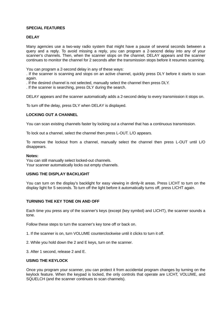# **SPECIAL FEATURES**

# **DELAY**

Many agencies use a two-way radio system that might have a pause of several seconds between a query and a reply. To avoid missing a reply, you can program a 2-seocnd delay into any of your scanner's channels. Then, when the scanner stops on the channel, DELAY appears and the scanner continues to monitor the channel for 2 seconds after the transmission stops before it resumes scanning.

You can program a 2-second delay in any of these ways:

. If the scanner is scanning and stops on an active channel, quickly press DLY before it starts to scan again.

. If the desired channel is not selected, manually select the channel then press DLY.

. If the scanner is searching, press DLY during the search.

DELAY appears and the scanner automatically adds a 2-second delay to every transmission it stops on.

To turn off the delay, press DLY when DELAY is displayed.

# **LOCKING OUT A CHANNEL**

You can scan existing channels faster by locking out a channel that has a continuous transmission.

To lock out a channel, select the channel then press L-OUT. L/O appears.

To remove the lockout from a channel, manually select the channel then press L-OUT until L/O disappears.

#### **Notes:**

You can still manually select locked-out channels. Your scanner automatically locks out empty channels.

# **USING THE DISPLAY BACKLIGHT**

You can turn on the display's backlight for easy viewing in dimly-lit areas. Press LICHT to turn on the display light for 5 seconds. To turn off the light before it automatically turns off, press LICHT again.

# **TURNING THE KEY TONE ON AND OFF**

Each time you press any of the scanner's keys (except (key symbol) and LICHT), the scanner sounds a tone.

Follow these steps to turn the scanner's key tone off or back on.

- 1. If the scanner is on, turn VOLUME counterclockwise until it clicks to turn it off.
- 2. While you hold down the 2 and E keys, turn on the scanner.
- 3. After 1 second, release 2 and E.

# **USING THE KEYLOCK**

Once you program your scanner, you can protect it from accidental program changes by turning on the keylock feature. When the keypad is locked, the only controls that operate are LICHT, VOLUME, and SQUELCH (and the scanner continues to scan channels).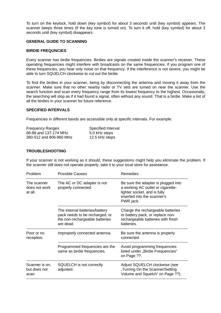To turn on the keylock, hold down (key symbol) for about 3 seconds until (key symbol) appears. The scanner beeps three times (if the key tone is turned on). To turn it off, hold (key symbol) for about 3 seconds until (key symbol) disappears.

## **GENERAL GUIDE TO SCANNING**

#### **BIRDIE FREQUNCIES**

Every scanner has birdie frequencies. Birdies are signals created inside the scanner's receiver. These operating frequencies might interfere with broadcasts on the same frequencies. If you program one of these frequencies, you hear only noise on that frequency. If the interference is not severe, you might be able to turn SQUELCH clockwise to cut out the birdie.

To find the birdies in your scanner, being by disconnecting the antenna and moving it away from the scanner. Make sure that no other nearby radio or TV sets are turned on near the scanner. Use the search function and scan every frequency range from its lowest frequency to the highest. Occasionally, the searching will stop as if it had found a signal, often without any sound. That is a birdie. Make a list of all the birdies in your scanner for future reference.

### **SPECIFIED INTERVALS**

Frequencies in different bands are accessible only at specific intervals. For example:

| <b>Frequency Ranges</b> | Specified Interval |
|-------------------------|--------------------|
| 68-88 and 137-174 MHz   | 5.0 kHz steps      |
| 380-512 and 806-960 MHz | 12.5 kHz steps     |

# **TROUBLESHOOTING**

If your scanner is not working as it should, these suggestions might help you eliminate the problem. If the scanner still does not operate properly, take it to your local store for assistance.

| Problem                                 | <b>Possible Causes</b>                                                                                          | Remedies                                                                                                                                             |
|-----------------------------------------|-----------------------------------------------------------------------------------------------------------------|------------------------------------------------------------------------------------------------------------------------------------------------------|
| The scanner<br>does not work<br>at all. | The AC or DC adapter is not<br>properly connected.                                                              | Be sure the adapter is plugged into<br>a working AC outlet or cigarette-<br>lighter socket, and is fully<br>inserted into the scanner's<br>PWR jack. |
|                                         | The internal batteries/battery<br>pack needs to be recharged, or<br>the non-rechargeable batteries<br>are dead. | Charge the rechargeable batteries<br>or battery pack, or replace non-<br>rechargeable batteries with fresh<br>batteries.                             |
| Poor or no<br>reception.                | Improperly connected antenna.                                                                                   | Be sure the antenna is properly<br>connected.                                                                                                        |
|                                         | Programmed frequencies are the<br>same as birdie frequencies.                                                   | Avoid programming frequencies<br>listed under "Birdie Frequencies"<br>on Page ??.                                                                    |
| Scanner is on,<br>but does not<br>scan  | SQUELCH is not correctly<br>adjusted.                                                                           | Adjust SQUELCH clockwise (see<br>"Turning On the Scanner/Setting<br>Volume and Squelch" on Page ??).                                                 |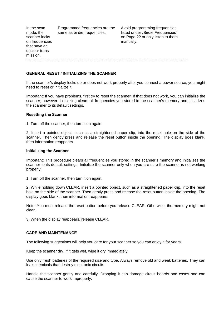| In the scan<br>mode, the<br>scanner locks<br>on frequencies<br>that have an<br>unclear trans-<br>mission. | Programmed frequencies are the<br>same as birdie frequencies. | Avoid programming frequencies<br>listed under "Birdie Frequencies"<br>on Page ?? or only listen to them<br>manually. |
|-----------------------------------------------------------------------------------------------------------|---------------------------------------------------------------|----------------------------------------------------------------------------------------------------------------------|
|                                                                                                           |                                                               |                                                                                                                      |

# **GENERAL RESET / INITIALIZING THE SCANNER**

If the scanner's display locks up or does not work properly after you connect a power source, you might need to reset or initialize it.

Important: If you have problems, first try to reset the scanner. If that does not work, you can initialize the scanner, however, initializing clears all frequencies you stored in the scanner's memory and initialilzes the scanner to its default settings.

#### **Resetting the Scanner**

1. Turn off the scanner, then turn it on again.

2. Insert a pointed object, such as a straightened paper clip, into the reset hole on the side of the scanner. Then gently press and release the reset button inside the opening. The display goes blank, then information reappears.

#### **Initializing the Scanner**

Important: This procedure clears all frequencies you stored in the scanner's memory and initializes the scanner to its default settings. Initialize the scanner only when you are sure the scanner is not working properly.

1. Turn off the scanner, then turn it on again.

2. While holding down CLEAR, insert a pointed object, such as a straightened paper clip, into the reset hole on the side of the scanner. Then gently press and release the reset button inside the opening. The display goes blank, then information reappears.

Note: You must release the reset button before you release CLEAR. Otherwise, the memory might not clear.

3. When the display reappears, release CLEAR.

# **CARE AND MAINTENANCE**

The following suggestions will help you care for your scanner so you can enjoy it for years.

Keep the scanner dry. If it gets wet, wipe it dry immediately.

Use only fresh batteries of the required size and type. Always remove old and weak batteries. They can leak chemicals that destroy electronic circuits.

Handle the scanner gently and carefully. Dropping it can damage circuit boards and cases and can cause the scanner to work improperly.